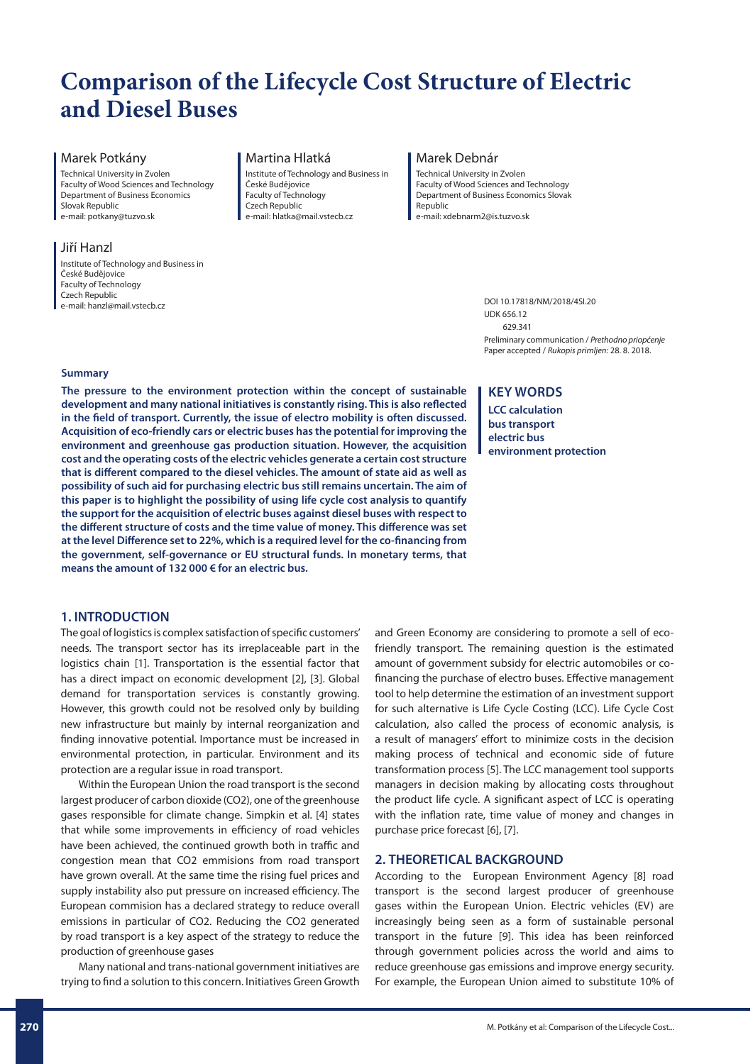# **Comparison of the Lifecycle Cost Structure of Electric and Diesel Buses**

## Marek Potkány

Technical University in Zvolen Faculty of Wood Sciences and Technology Department of Business Economics Slovak Republic e-mail: potkany@tuzvo.sk

# Jiří Hanzl

Institute of Technology and Business in České Budějovice Faculty of Technology Czech Republic e-mail: hanzl@mail.vstecb.cz

## Martina Hlatká

Institute of Technology and Business in České Budějovice Faculty of Technology Czech Republic e-mail: hlatka@mail.vstecb.cz

#### Marek Debnár

Technical University in Zvolen Faculty of Wood Sciences and Technology Department of Business Economics Slovak Republic e-mail: xdebnarm2@is.tuzvo.sk

> DOI 10.17818/NM/2018/4SI.20 UDK 656.12 629.341 Preliminary communication / *Prethodno priopćenje* Paper accepted / *Rukopis primljen:* 28. 8. 2018.

## **Summary**

**The pressure to the environment protection within the concept of sustainable development and many national initiatives is constantly rising. This is also reflected in the field of transport. Currently, the issue of electro mobility is often discussed. Acquisition of eco-friendly cars or electric buses has the potential for improving the environment and greenhouse gas production situation. However, the acquisition cost and the operating costs of the electric vehicles generate a certain cost structure that is different compared to the diesel vehicles. The amount of state aid as well as possibility of such aid for purchasing electric bus still remains uncertain. The aim of this paper is to highlight the possibility of using life cycle cost analysis to quantify the support for the acquisition of electric buses against diesel buses with respect to the different structure of costs and the time value of money. This difference was set at the level Difference set to 22%, which is a required level for the co-financing from the government, self-governance or EU structural funds. In monetary terms, that means the amount of 132 000 € for an electric bus.**

# **1. INTRODUCTION**

The goal of logistics is complex satisfaction of specific customers' needs. The transport sector has its irreplaceable part in the logistics chain [1]. Transportation is the essential factor that has a direct impact on economic development [2], [3]. Global demand for transportation services is constantly growing. However, this growth could not be resolved only by building new infrastructure but mainly by internal reorganization and finding innovative potential. Importance must be increased in environmental protection, in particular. Environment and its protection are a regular issue in road transport.

Within the European Union the road transport is the second largest producer of carbon dioxide (CO2), one of the greenhouse gases responsible for climate change. Simpkin et al. [4] states that while some improvements in efficiency of road vehicles have been achieved, the continued growth both in traffic and congestion mean that CO2 emmisions from road transport have grown overall. At the same time the rising fuel prices and supply instability also put pressure on increased efficiency. The European commision has a declared strategy to reduce overall emissions in particular of CO2. Reducing the CO2 generated by road transport is a key aspect of the strategy to reduce the production of greenhouse gases

Many national and trans-national government initiatives are trying to find a solution to this concern. Initiatives Green Growth

# **KEY WORDS**

**LCC calculation bus transport electric bus environment protection**

and Green Economy are considering to promote a sell of ecofriendly transport. The remaining question is the estimated amount of government subsidy for electric automobiles or cofinancing the purchase of electro buses. Effective management tool to help determine the estimation of an investment support for such alternative is Life Cycle Costing (LCC). Life Cycle Cost calculation, also called the process of economic analysis, is a result of managers' effort to minimize costs in the decision making process of technical and economic side of future transformation process [5]. The LCC management tool supports managers in decision making by allocating costs throughout the product life cycle. A significant aspect of LCC is operating with the inflation rate, time value of money and changes in purchase price forecast [6], [7].

# **2. THEORETICAL BACKGROUND**

According to the European Environment Agency [8] road transport is the second largest producer of greenhouse gases within the European Union. Electric vehicles (EV) are increasingly being seen as a form of sustainable personal transport in the future [9]. This idea has been reinforced through government policies across the world and aims to reduce greenhouse gas emissions and improve energy security. For example, the European Union aimed to substitute 10% of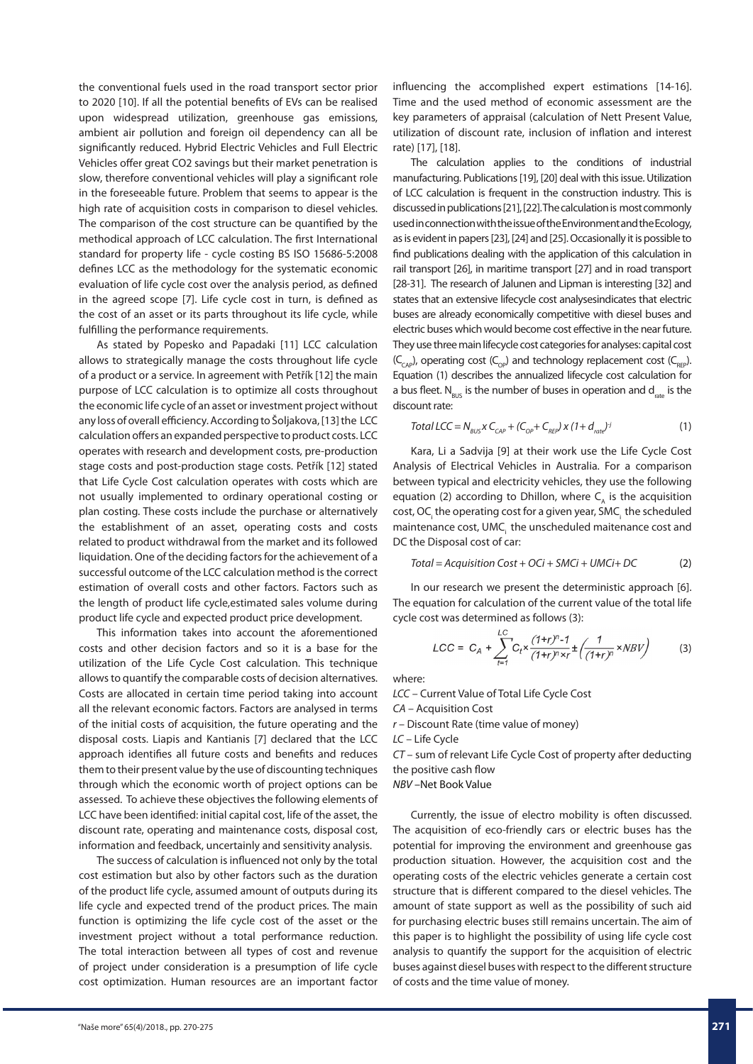the conventional fuels used in the road transport sector prior to 2020 [10]. If all the potential benefits of EVs can be realised upon widespread utilization, greenhouse gas emissions, ambient air pollution and foreign oil dependency can all be significantly reduced. Hybrid Electric Vehicles and Full Electric Vehicles offer great CO2 savings but their market penetration is slow, therefore conventional vehicles will play a significant role in the foreseeable future. Problem that seems to appear is the high rate of acquisition costs in comparison to diesel vehicles. The comparison of the cost structure can be quantified by the methodical approach of LCC calculation. The first International standard for property life - cycle costing BS ISO 15686-5:2008 defines LCC as the methodology for the systematic economic evaluation of life cycle cost over the analysis period, as defined in the agreed scope [7]. Life cycle cost in turn, is defined as the cost of an asset or its parts throughout its life cycle, while fulfilling the performance requirements.

As stated by Popesko and Papadaki [11] LCC calculation allows to strategically manage the costs throughout life cycle of a product or a service. In agreement with Petřík [12] the main purpose of LCC calculation is to optimize all costs throughout the economic life cycle of an asset or investment project without any loss of overall efficiency. According to Šoljakova, [13] the LCC calculation offers an expanded perspective to product costs. LCC operates with research and development costs, pre-production stage costs and post-production stage costs. Petřík [12] stated that Life Cycle Cost calculation operates with costs which are not usually implemented to ordinary operational costing or plan costing. These costs include the purchase or alternatively the establishment of an asset, operating costs and costs related to product withdrawal from the market and its followed liquidation. One of the deciding factors for the achievement of a successful outcome of the LCC calculation method is the correct estimation of overall costs and other factors. Factors such as the length of product life cycle,estimated sales volume during product life cycle and expected product price development.

This information takes into account the aforementioned costs and other decision factors and so it is a base for the utilization of the Life Cycle Cost calculation. This technique allows to quantify the comparable costs of decision alternatives. Costs are allocated in certain time period taking into account all the relevant economic factors. Factors are analysed in terms of the initial costs of acquisition, the future operating and the disposal costs. Liapis and Kantianis [7] declared that the LCC approach identifies all future costs and benefits and reduces them to their present value by the use of discounting techniques through which the economic worth of project options can be assessed. To achieve these objectives the following elements of LCC have been identified: initial capital cost, life of the asset, the discount rate, operating and maintenance costs, disposal cost, information and feedback, uncertainly and sensitivity analysis.

The success of calculation is influenced not only by the total cost estimation but also by other factors such as the duration of the product life cycle, assumed amount of outputs during its life cycle and expected trend of the product prices. The main function is optimizing the life cycle cost of the asset or the investment project without a total performance reduction. The total interaction between all types of cost and revenue of project under consideration is a presumption of life cycle cost optimization. Human resources are an important factor

influencing the accomplished expert estimations [14-16]. Time and the used method of economic assessment are the key parameters of appraisal (calculation of Nett Present Value, utilization of discount rate, inclusion of inflation and interest rate) [17], [18].

The calculation applies to the conditions of industrial manufacturing. Publications [19], [20] deal with this issue. Utilization of LCC calculation is frequent in the construction industry. This is discussed in publications [21], [22]. The calculation is most commonly used in connection with the issue of the Environment and the Ecology, as is evident in papers [23], [24] and [25]. Occasionally it is possible to find publications dealing with the application of this calculation in rail transport [26], in maritime transport [27] and in road transport [28-31]. The research of Jalunen and Lipman is interesting [32] and states that an extensive lifecycle cost analysesindicates that electric buses are already economically competitive with diesel buses and electric buses which would become cost effective in the near future. They use three main lifecycle cost categories for analyses: capital cost  $(C_{\text{cap}})$ , operating cost  $(C_{\text{cap}})$  and technology replacement cost  $(C_{\text{cap}})$ . Equation (1) describes the annualized lifecycle cost calculation for a bus fleet.  $N_{\text{BUS}}$  is the number of buses in operation and  $d_{\text{rate}}$  is the discount rate:

Total LCC = 
$$
N_{BUS} \times C_{CAP} + (C_{OP} + C_{Rep}) \times (1 + d_{rate})^j
$$
 (1)

Kara, Li a Sadvija [9] at their work use the Life Cycle Cost Analysis of Electrical Vehicles in Australia. For a comparison between typical and electricity vehicles, they use the following equation (2) according to Dhillon, where  $C_A$  is the acquisition cost, OC<sub>i</sub> the operating cost for a given year, SMC<sub>i</sub> the scheduled maintenance cost, UMC the unscheduled maitenance cost and DC the Disposal cost of car:

$$
Total = Acquisition Cost + OCi + SMCi + UMCi + DC
$$
 (2)

In our research we present the deterministic approach [6]. The equation for calculation of the current value of the total life cycle cost was determined as follows (3):

$$
LCC = C_A + \sum_{t=1}^{LC} C_t \times \frac{(1+t)^n - 1}{(1+t)^n \times r} \pm \left( \frac{1}{(1+t)^n} \times NBV \right)
$$
(3)

where:

*LCC* – Current Value of Total Life Cycle Cost *CA* – Acquisition Cost

*r* – Discount Rate (time value of money)

*LC* – Life Cycle

*CT* – sum of relevant Life Cycle Cost of property after deducting the positive cash flow

*NBV* –Net Book Value

Currently, the issue of electro mobility is often discussed. The acquisition of eco-friendly cars or electric buses has the potential for improving the environment and greenhouse gas production situation. However, the acquisition cost and the operating costs of the electric vehicles generate a certain cost structure that is different compared to the diesel vehicles. The amount of state support as well as the possibility of such aid for purchasing electric buses still remains uncertain. The aim of this paper is to highlight the possibility of using life cycle cost analysis to quantify the support for the acquisition of electric buses against diesel buses with respect to the different structure of costs and the time value of money.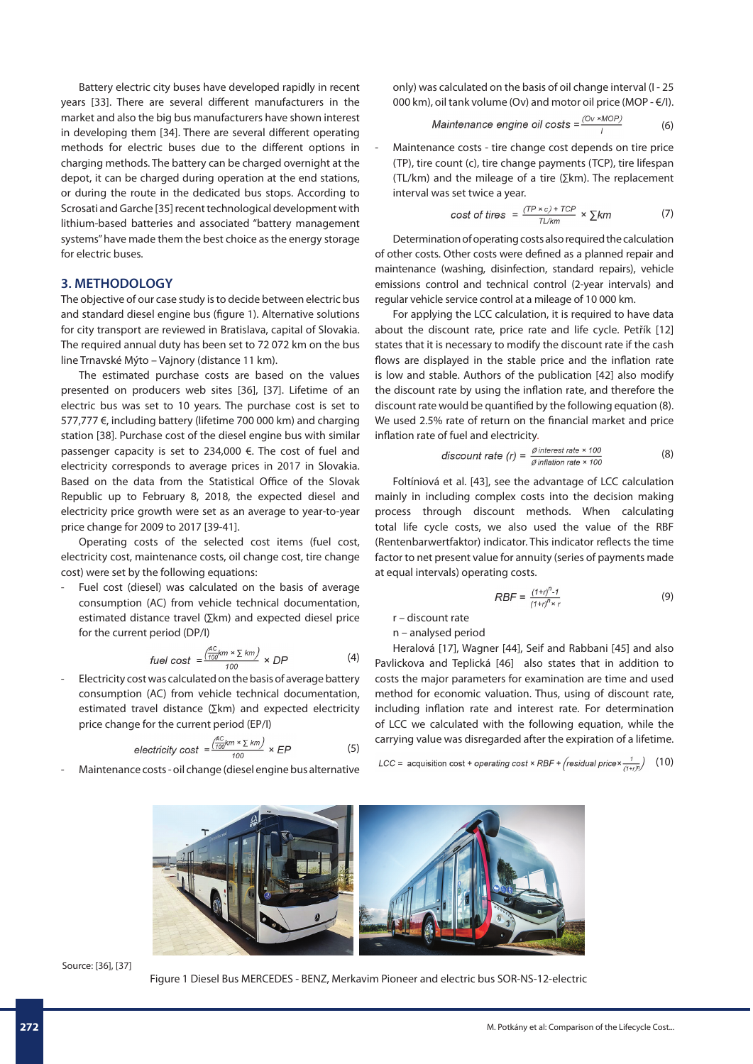Battery electric city buses have developed rapidly in recent years [33]. There are several different manufacturers in the market and also the big bus manufacturers have shown interest in developing them [34]. There are several different operating methods for electric buses due to the different options in charging methods. The battery can be charged overnight at the depot, it can be charged during operation at the end stations, or during the route in the dedicated bus stops. According to Scrosati and Garche [35] recent technological development with lithium-based batteries and associated "battery management systems" have made them the best choice as the energy storage for electric buses.

## **3. METHODOLOGY**

The objective of our case study is to decide between electric bus and standard diesel engine bus (figure 1). Alternative solutions for city transport are reviewed in Bratislava, capital of Slovakia. The required annual duty has been set to 72 072 km on the bus line Trnavské Mýto – Vajnory (distance 11 km).

The estimated purchase costs are based on the values presented on producers web sites [36], [37]. Lifetime of an electric bus was set to 10 years. The purchase cost is set to 577,777 €, including battery (lifetime 700 000 km) and charging station [38]. Purchase cost of the diesel engine bus with similar passenger capacity is set to 234,000 €. The cost of fuel and electricity corresponds to average prices in 2017 in Slovakia. Based on the data from the Statistical Office of the Slovak Republic up to February 8, 2018, the expected diesel and electricity price growth were set as an average to year-to-year price change for 2009 to 2017 [39-41].

Operating costs of the selected cost items (fuel cost, electricity cost, maintenance costs, oil change cost, tire change cost) were set by the following equations:

Fuel cost (diesel) was calculated on the basis of average consumption (AC) from vehicle technical documentation, estimated distance travel (∑km) and expected diesel price for the current period (DP/I)

$$
fuel cost = \frac{\left(\frac{AC}{100}km \times \sum km\right)}{100} \times DP
$$
 (4)

- Electricity cost was calculated on the basis of average battery consumption (AC) from vehicle technical documentation, estimated travel distance (∑km) and expected electricity price change for the current period (EP/I)

$$
electricity cost = \frac{\left(\frac{AC}{100}km \times \sum km\right)}{100} \times EP
$$
 (5)

Maintenance costs - oil change (diesel engine bus alternative

only) was calculated on the basis of oil change interval (I - 25 000 km), oil tank volume (Ov) and motor oil price (MOP - €/I).

$$
Maintenance engine oil costs = \frac{(Ov * MOP)}{I}
$$
 (6)

Maintenance costs - tire change cost depends on tire price (TP), tire count (c), tire change payments (TCP), tire lifespan (TL/km) and the mileage of a tire (∑km). The replacement interval was set twice a year.

cost of tires = 
$$
\frac{(TP \times c) + TCP}{TL/km} \times \sum km
$$
 (7)

Determination of operating costs also required the calculation of other costs. Other costs were defined as a planned repair and maintenance (washing, disinfection, standard repairs), vehicle emissions control and technical control (2-year intervals) and regular vehicle service control at a mileage of 10 000 km.

For applying the LCC calculation, it is required to have data about the discount rate, price rate and life cycle. Petřík [12] states that it is necessary to modify the discount rate if the cash flows are displayed in the stable price and the inflation rate is low and stable. Authors of the publication [42] also modify the discount rate by using the inflation rate, and therefore the discount rate would be quantified by the following equation (8). We used 2.5% rate of return on the financial market and price inflation rate of fuel and electricity.

$$
discount rate (r) = \frac{\text{\# interest rate} \times 100}{\text{\# inflation rate} \times 100}
$$
 (8)

Foltíniová et al. [43], see the advantage of LCC calculation mainly in including complex costs into the decision making process through discount methods. When calculating total life cycle costs, we also used the value of the RBF (Rentenbarwertfaktor) indicator. This indicator reflects the time factor to net present value for annuity (series of payments made at equal intervals) operating costs.

$$
RBF = \frac{(1+r)^{n} - 1}{(1+r)^{n} \times r}
$$
 (9)

r – discount rate

n – analysed period

Heralová [17], Wagner [44], Seif and Rabbani [45] and also Pavlickova and Teplická [46] also states that in addition to costs the major parameters for examination are time and used method for economic valuation. Thus, using of discount rate, including inflation rate and interest rate. For determination of LCC we calculated with the following equation, while the carrying value was disregarded after the expiration of a lifetime.

LCC = acquisition cost + operating cost × RBF + (residual price  $\times \frac{1}{(1+r)^n}$ ) (10)



Source: [36], [37]

Figure 1 Diesel Bus MERCEDES - BENZ, Merkavim Pioneer and electric bus SOR-NS-12-electric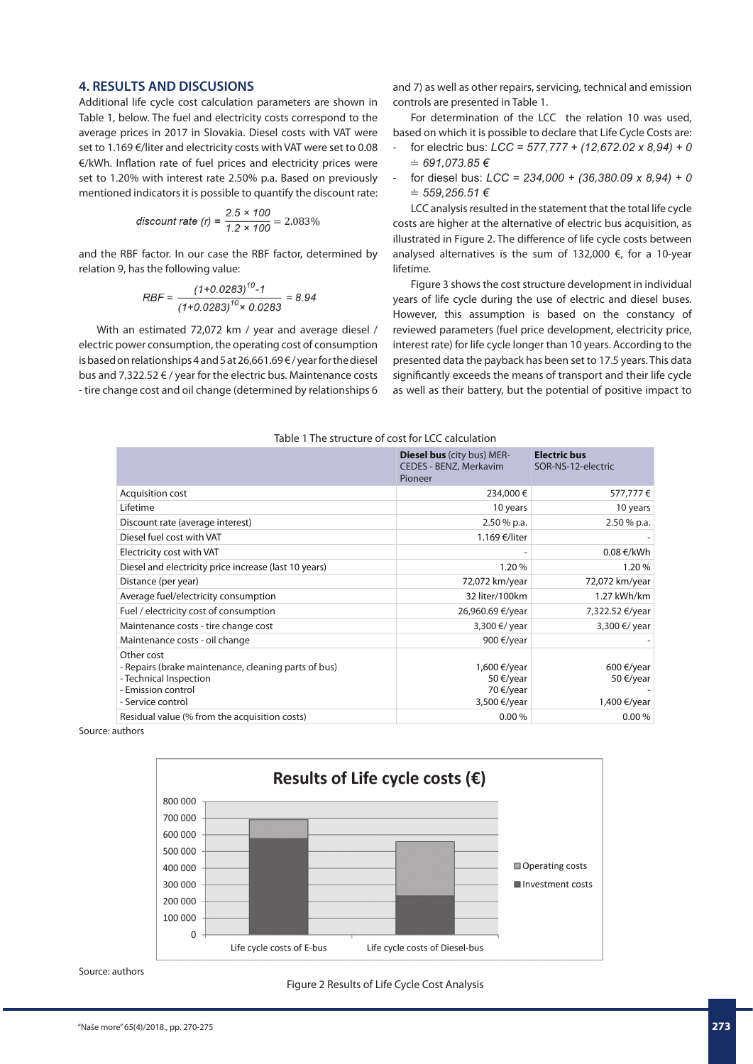## **4. RESULTS AND DISCUSIONS**

Additional life cycle cost calculation parameters are shown in Table 1, below. The fuel and electricity costs correspond to the average prices in 2017 in Slovakia. Diesel costs with VAT were set to 1.169 €/liter and electricity costs with VAT were set to 0.08 €/kWh. Inflation rate of fuel prices and electricity prices were set to 1.20% with interest rate 2.50% p.a. Based on previously mentioned indicators it is possible to quantify the discount rate:

$$
discount\ rate\ (r) = \frac{2.5 \times 100}{1.2 \times 100} = 2.083\%
$$

and the RBF factor. In our case the RBF factor, determined by relation 9, has the following value:

$$
RBF = \frac{(1+0.0283)^{10} \cdot 1}{(1+0.0283)^{10} \times 0.0283} = 8.94
$$

With an estimated 72,072 km / year and average diesel / electric power consumption, the operating cost of consumption is based on relationships 4 and 5 at 26,661.69 € / year for the diesel bus and 7,322.52 € / year for the electric bus. Maintenance costs - tire change cost and oil change (determined by relationships 6 and 7) as well as other repairs, servicing, technical and emission controls are presented in Table 1.

For determination of the LCC the relation 10 was used, based on which it is possible to declare that Life Cycle Costs are:

- for electric bus: *LCC = 577,777 + (12,672.02 x 8,94) + 0*  ≐ *691,073.85 €*
- for diesel bus: *LCC = 234,000 + (36,380.09 x 8,94) + 0*  ≐ *559,256.51 €*

LCC analysis resulted in the statement that the total life cycle costs are higher at the alternative of electric bus acquisition, as illustrated in Figure 2. The difference of life cycle costs between analysed alternatives is the sum of 132,000 €, for a 10-year lifetime.

Figure 3 shows the cost structure development in individual years of life cycle during the use of electric and diesel buses. However, this assumption is based on the constancy of reviewed parameters (fuel price development, electricity price, interest rate) for life cycle longer than 10 years. According to the presented data the payback has been set to 17.5 years. This data significantly exceeds the means of transport and their life cycle as well as their battery, but the potential of positive impact to

| Table 1 The structure of cost for LCC calculation |
|---------------------------------------------------|
|---------------------------------------------------|

|                                                                                                                                         | <b>Diesel bus</b> (city bus) MER-<br>CEDES - BENZ, Merkavim<br>Pioneer | <b>Electric bus</b><br>SOR-NS-12-electric |
|-----------------------------------------------------------------------------------------------------------------------------------------|------------------------------------------------------------------------|-------------------------------------------|
| Acquisition cost                                                                                                                        | 234,000€                                                               | 577,777€                                  |
| Lifetime                                                                                                                                | 10 years                                                               | 10 years                                  |
| Discount rate (average interest)                                                                                                        | $2.50%$ p.a.                                                           | $2.50%$ p.a.                              |
| Diesel fuel cost with VAT                                                                                                               | 1.169 €/liter                                                          |                                           |
| Electricity cost with VAT                                                                                                               |                                                                        | 0.08 €/kWh                                |
| Diesel and electricity price increase (last 10 years)                                                                                   | 1.20%                                                                  | 1.20%                                     |
| Distance (per year)                                                                                                                     | 72,072 km/year                                                         | 72,072 km/year                            |
| Average fuel/electricity consumption                                                                                                    | 32 liter/100km                                                         | 1.27 kWh/km                               |
| Fuel / electricity cost of consumption                                                                                                  | 26,960.69 €/year                                                       | 7,322.52 €/year                           |
| Maintenance costs - tire change cost                                                                                                    | 3,300 €/ year                                                          | 3,300 €/ year                             |
| Maintenance costs - oil change                                                                                                          | 900 €/year                                                             |                                           |
| Other cost<br>- Repairs (brake maintenance, cleaning parts of bus)<br>- Technical Inspection<br>- Emission control<br>- Service control | 1,600 €/year<br>50 €/year<br>70 €/year<br>3,500 €/year                 | 600 €/year<br>50 €/year<br>1,400 €/year   |
| Residual value (% from the acquisition costs)                                                                                           | 0.00%                                                                  | 0.00%                                     |

Source: authors



Source: authors

Figure 2 Results of Life Cycle Cost Analysis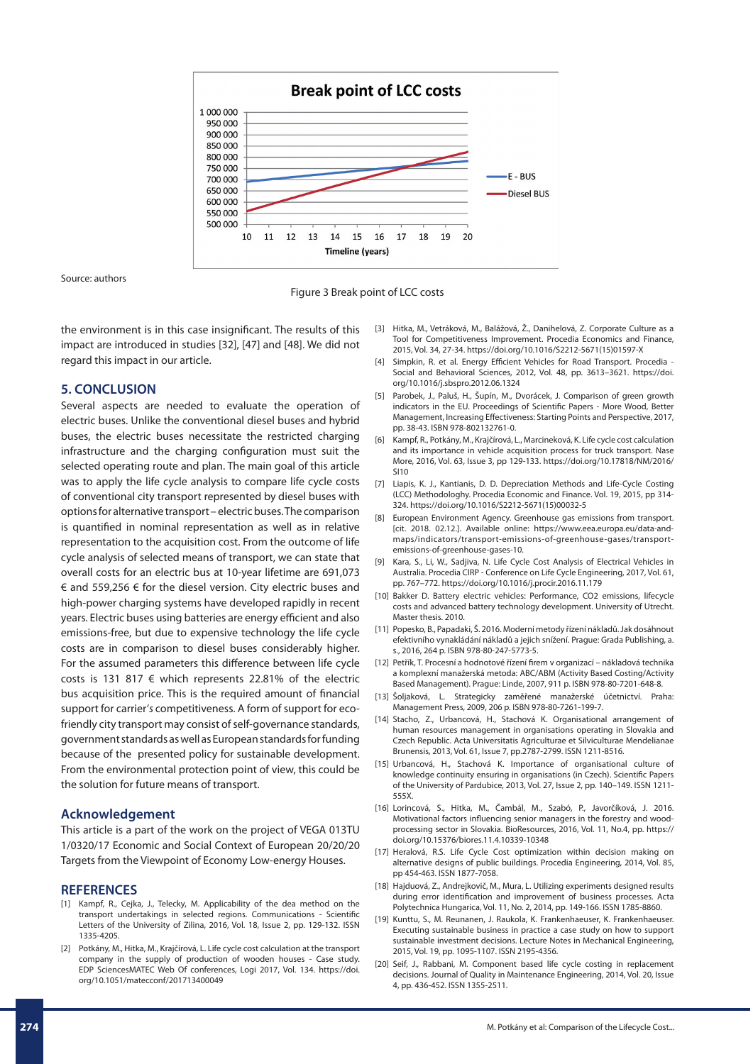

Source: authors

Figure 3 Break point of LCC costs

the environment is in this case insignificant. The results of this impact are introduced in studies [32], [47] and [48]. We did not regard this impact in our article.

#### **5. CONCLUSION**

Several aspects are needed to evaluate the operation of electric buses. Unlike the conventional diesel buses and hybrid buses, the electric buses necessitate the restricted charging infrastructure and the charging configuration must suit the selected operating route and plan. The main goal of this article was to apply the life cycle analysis to compare life cycle costs of conventional city transport represented by diesel buses with options for alternative transport – electric buses. The comparison is quantified in nominal representation as well as in relative representation to the acquisition cost. From the outcome of life cycle analysis of selected means of transport, we can state that overall costs for an electric bus at 10-year lifetime are 691,073 € and 559,256 € for the diesel version. City electric buses and high-power charging systems have developed rapidly in recent years. Electric buses using batteries are energy efficient and also emissions-free, but due to expensive technology the life cycle costs are in comparison to diesel buses considerably higher. For the assumed parameters this difference between life cycle costs is 131 817  $\epsilon$  which represents 22.81% of the electric bus acquisition price. This is the required amount of financial support for carrier'*s* competitiveness. A form of support for ecofriendly city transport may consist of self-governance standards, government standards as well as European standards for funding because of the presented policy for sustainable development. From the environmental protection point of view, this could be the solution for future means of transport.

#### **Acknowledgement**

This article is a part of the work on the project of VEGA 013TU 1/0320/17 Economic and Social Context of European 20/20/20 Targets from the Viewpoint of Economy Low-energy Houses.

#### **REFERENCES**

- [1] Kampf, R., Cejka, J., Telecky, M. Applicability of the dea method on the transport undertakings in selected regions. Communications - Scientific Letters of the University of Zilina, 2016, Vol. 18, Issue 2, pp. 129-132. ISSN 1335-4205.
- [2] Potkány, M., Hitka, M., Krajčírová, L. Life cycle cost calculation at the transport company in the supply of production of wooden houses - Case study. EDP SciencesMATEC Web Of conferences, Logi 2017, Vol. 134. https://doi. org/10.1051/matecconf/201713400049
- [3] Hitka, M., Vetráková, M., Balážová, Ž., Danihelová, Z. Corporate Culture as a Tool for Competitiveness Improvement. Procedia Economics and Finance, 2015, Vol. 34, 27-34. https://doi.org/10.1016/S2212-5671(15)01597-X
- [4] Simpkin, R. et al. Energy Efficient Vehicles for Road Transport. Procedia -Social and Behavioral Sciences, 2012, Vol. 48, pp. 3613–3621. https://doi. org/10.1016/j.sbspro.2012.06.1324
- [5] Parobek, J., Paluš, H., Šupín, M., Dvorácek, J. Comparison of green growth indicators in the EU. Proceedings of Scientific Papers - More Wood, Better Management, Increasing Effectiveness: Starting Points and Perspective, 2017, pp. 38-43. ISBN 978-802132761-0.
- [6] Kampf, R., Potkány, M., Krajčírová, L., Marcineková, K. Life cycle cost calculation and its importance in vehicle acquisition process for truck transport. Nase More, 2016, Vol. 63, Issue 3, pp 129-133. https://doi.org/10.17818/NM/2016/ SI10
- [7] Liapis, K. J., Kantianis, D. D. Depreciation Methods and Life-Cycle Costing (LCC) Methodologhy. Procedia Economic and Finance. Vol. 19, 2015, pp 314- 324. https://doi.org/10.1016/S2212-5671(15)00032-5
- European Environment Agency. Greenhouse gas emissions from transport. [cit. 2018. 02.12.]. Available online: https://www.eea.europa.eu/data-andmaps/indicators/transport-emissions-of-greenhouse-gases/transportemissions-of-greenhouse-gases-10.
- [9] Kara, S., Li, W., Sadjiva, N. Life Cycle Cost Analysis of Electrical Vehicles in Australia. Procedia CIRP - Conference on Life Cycle Engineering, 2017, Vol. 61, pp. 767–772. https://doi.org/10.1016/j.procir.2016.11.179
- [10] Bakker D. Battery electric vehicles: Performance, CO2 emissions, lifecycle costs and advanced battery technology development. University of Utrecht. Master thesis. 2010.
- [11] Popesko, B., Papadaki, Š. 2016. Moderní metody řízení nákladů. Jak dosáhnout efektivního vynakládání nákladů a jejich snížení. Prague: Grada Publishing, a. s., 2016, 264 p. ISBN 978-80-247-5773-5.
- [12] Petřík, T. Procesní a hodnotové řízení firem v organizací nákladová technika a komplexní manažerská metoda: ABC/ABM (Activity Based Costing/Activity Based Management). Prague: Linde, 2007, 911 p. ISBN 978-80-7201-648-8.
- [13] Šoljaková, L. Strategicky zaměřené manažerské účetnictví. Praha: Management Press, 2009, 206 p. ISBN 978-80-7261-199-7.
- [14] Stacho, Z., Urbancová, H., Stachová K. Organisational arrangement of human resources management in organisations operating in Slovakia and Czech Republic. Acta Universitatis Agriculturae et Silviculturae Mendelianae Brunensis, 2013, Vol. 61, Issue 7, pp.2787-2799. ISSN 1211-8516.
- [15] Urbancová, H., Stachová K. Importance of organisational culture of knowledge continuity ensuring in organisations (in Czech). Scientific Papers of the University of Pardubice, 2013, Vol. 27, Issue 2, pp. 140–149. ISSN 1211- 555X.
- [16] Lorincová, S., Hitka, M., Čambál, M., Szabó, P., Javorčíková, J. 2016. Motivational factors influencing senior managers in the forestry and woodprocessing sector in Slovakia. BioResources, 2016, Vol. 11, No.4, pp. https:// doi.org/10.15376/biores.11.4.10339-10348
- [17] Heralová, R.S. Life Cycle Cost optimization within decision making on alternative designs of public buildings. Procedia Engineering, 2014, Vol. 85, pp 454-463. ISSN 1877-7058.
- [18] Hajduová, Z., Andrejkovič, M., Mura, L. Utilizing experiments designed results during error identification and improvement of business processes. Acta Polytechnica Hungarica, Vol. 11, No. 2, 2014, pp. 149-166. ISSN 1785-8860.
- [19] Kunttu, S., M. Reunanen, J. Raukola, K. Frankenhaeuser, K. Frankenhaeuser. Executing sustainable business in practice a case study on how to support sustainable investment decisions. Lecture Notes in Mechanical Engineering, 2015, Vol. 19, pp. 1095-1107. ISSN 2195-4356.
- [20] Seif, J., Rabbani, M. Component based life cycle costing in replacement decisions. Journal of Quality in Maintenance Engineering, 2014, Vol. 20, Issue 4, pp. 436-452. ISSN 1355-2511.